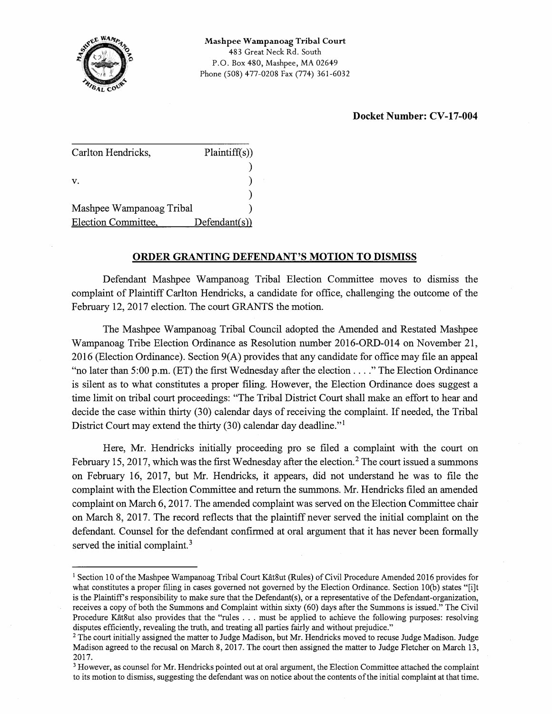

## **Docket Number: CV-17-004**

| Carlton Hendricks,       | Plaintiff(s)  |
|--------------------------|---------------|
|                          |               |
| V.                       |               |
|                          |               |
| Mashpee Wampanoag Tribal |               |
| Election Committee,      | Defendant(s)) |

## **ORDER GRANTING DEFENDANT'S MOTION TO DISMISS**

Defendant Mashpee Wampanoag Tribal Election Committee moves to dismiss the complaint of Plaintiff Carlton Hendricks, a candidate for office, challenging the outcome of the February 12, 2017 election. The court GRANTS the motion.

The Mashpee W ampanoag Tribal Council adopted the Amended and Restated Mashpee Wampanoag Tribe Election Ordinance as Resolution number 2016-ORD-014 on November 21, 2016 (Election Ordinance). Section 9(A) provides that any candidate for office may file an appeal "no later than 5:00 p.m. (ET) the first Wednesday after the election .... " The Election Ordinance is silent as to what constitutes a proper filing. However, the Election Ordinance does suggest a time limit on tribal court proceedings: "The Tribal District Court shall make an effort to hear and decide the case within thirty (30) calendar days of receiving the complaint. If needed, the Tribal District Court may extend the thirty (30) calendar day deadline."<sup>1</sup>

Here, Mr. Hendricks initially proceeding pro se filed a complaint with the court on February 15, 2017, which was the first Wednesday after the election.<sup>2</sup> The court issued a summons on February 16, 2017, but Mr. Hendricks, it appears, did not understand he was to file the complaint with the Election Committee and return the summons. Mr. Hendricks filed an amended complaint on March 6, 2017. The amended complaint was served on the Election Committee chair on March 8, 2017. The record reflects that the plaintiff never served the initial complaint on the defendant. Counsel for the defendant confirmed at oral argument that it has never been formally served the initial complaint.<sup>3</sup>

<sup>&</sup>lt;sup>1</sup> Section 10 of the Mashpee Wampanoag Tribal Court Kât8ut (Rules) of Civil Procedure Amended 2016 provides for what constitutes a proper filing in cases governed not governed by the Election Ordinance. Section 10(b) states "[i]t is the Plaintiff's responsibility to make sure that the Defendant(s), or a representative of the Defendant-organization, receives a copy of both the Summons and Complaint within sixty (60) days after the Summons is issued." The Civil Procedure Kât8ut also provides that the "rules . . . must be applied to achieve the following purposes: resolving disputes efficiently, revealing the truth, and treating all parties fairly and without prejudice."

<sup>&</sup>lt;sup>2</sup> The court initially assigned the matter to Judge Madison, but Mr. Hendricks moved to recuse Judge Madison. Judge Madison agreed to the recusal on March 8, 2017. The court then assigned the matter to Judge Fletcher on March 13, 2017.

<sup>&</sup>lt;sup>3</sup> However, as counsel for Mr. Hendricks pointed out at oral argument, the Election Committee attached the complaint to its motion to dismiss, suggesting the defendant was on notice about the contents of the initial complaint at that time.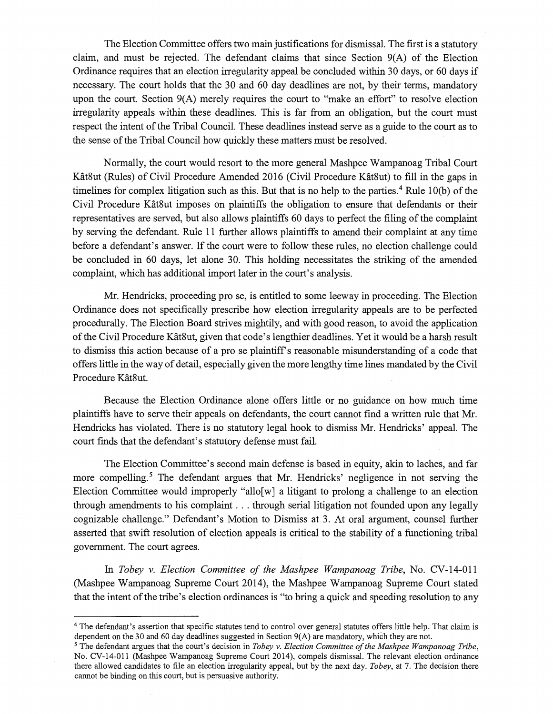The Election Committee offers two main justifications for dismissal. The first is a statutory claim, and must be rejected. The defendant claims that since Section 9(A) of the Election Ordinance requires that an election irregularity appeal be concluded within 30 days, or 60 days if necessary. The court holds that the 30 and 60 day deadlines are not, by their terms, mandatory upon the court. Section 9(A) merely requires the court to "make an effort" to resolve election irregularity appeals within these deadlines. This is far from an obligation, but the court must respect the intent of the Tribal Council. These deadlines instead serve as a guide to the court as to the sense of the Tribal Council how quickly these matters must be resolved.

Normally, the court would resort to the more general Mashpee Wampanoag Tribal Court Kat8ut (Rules) of Civil Procedure Amended 2016 (Civil Procedure Kat8ut) to fill in the gaps in timelines for complex litigation such as this. But that is no help to the parties.<sup>4</sup> Rule 10(b) of the Civil Procedure Kat8ut imposes on plaintiffs the obligation to ensure that defendants or their representatives are served, but also allows plaintiffs 60 days to perfect the filing of the complaint by serving the defendant. Rule 11 further allows plaintiffs to amend their complaint at any time before a defendant's answer. If the court were to follow these rules, no election challenge could be concluded in 60 days, let alone 30. This holding necessitates the striking of the amended complaint, which has additional import later in the court's analysis.

Mr. Hendricks, proceeding pro se, is entitled to some leeway in proceeding. The Election Ordinance does not specifically prescribe how election irregularity appeals are to be perfected procedurally. The Election Board strives mightily, and with good reason, to avoid the application of the Civil Procedure Kat8ut, given that code's lengthier deadlines. Yet it would be a harsh result to dismiss this action because of a pro se plaintiffs reasonable misunderstanding of a code that offers little in the way of detail, especially given the more lengthy time lines mandated by the Civil Procedure Kât8ut.

Because the Election Ordinance alone offers little or no guidance on how much time plaintiffs have to serve their appeals on defendants, the court cannot find a written rule that Mr. Hendricks has violated. There is no statutory legal hook to dismiss Mr. Hendricks' appeal. The court finds that the defendant's statutory defense must fail.

The Election Committee's second main defense is based in equity, akin to laches, and far more compelling.<sup>5</sup> The defendant argues that Mr. Hendricks' negligence in not serving the Election Committee would improperly "allo[w] a litigant to prolong a challenge to an election through amendments to his complaint ... through serial litigation not founded upon any legally cognizable challenge." Defendant's Motion to Dismiss at 3. At oral argument, counsel further asserted that swift resolution of election appeals is critical to the stability of a functioning tribal government. The court agrees.

In *Tobey* v. *Election Committee of the Mashpee Wampanoag Tribe,* No. CV-14-011 (Mashpee Wampanoag Supreme Court 2014), the Mashpee Wampanoag Supreme Court stated that the intent of the tribe's election ordinances is "to bring a quick and speeding resolution to any

<sup>&</sup>lt;sup>4</sup> The defendant's assertion that specific statutes tend to control over general statutes offers little help. That claim is dependent on the 30 and 60 day deadlines suggested in Section 9(A) are mandatory, which they are not.

<sup>5</sup>The defendant argues that the court's decision in *Tobey v. Election Committee of the Mashpee Wampanoag Tribe,*  No. CV-14-011 (Mashpee Wampanoag Supreme Court 2014), compels dismissal. The relevant election ordinance there allowed candidates to file an election irregularity appeal, but by the next day. *Tobey,* at 7. The decision there cannot be binding on this court, but is persuasive authority.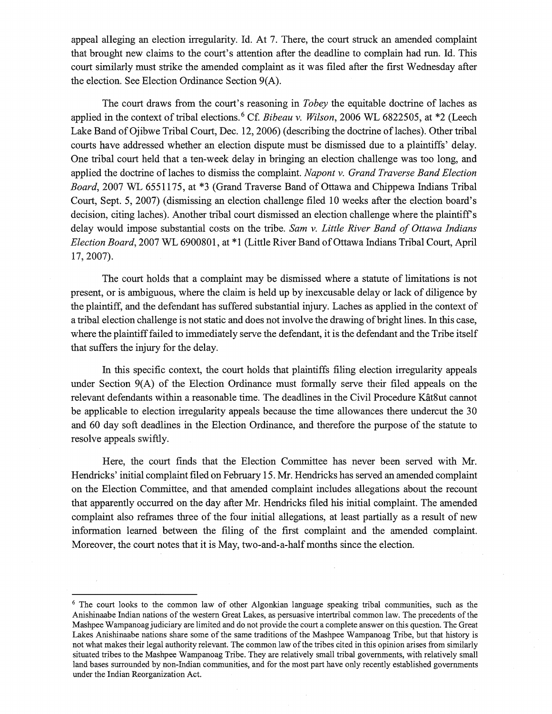appeal alleging an election irregularity. Id. At 7. There, the court struck an amended complaint that brought new claims to the court's attention after the deadline to complain had run. Id. This court similarly must strike the amended complaint as it was filed after the first Wednesday after the election. See Election Ordinance Section 9(A).

The court draws from the court's reasoning in *Tobey* the equitable doctrine of laches as applied in the context of tribal elections. 6 Cf. *Bibeau* v. *Wilson,* 2006 WL 6822505, at \*2 (Leech Lake Band of Ojibwe Tribal Court, Dec. 12, 2006) (describing the doctrine oflaches). Other tribal courts have addressed whether an election dispute must be dismissed due to a plaintiffs' delay. One tribal court held that a ten-week delay in bringing an election challenge was too long, and applied the doctrine of laches to dismiss the complaint. *Napont* v. *Grand Traverse Band Election Board,* 2007 WL 6551175, at \*3 (Grand Traverse Band of Ottawa and Chippewa Indians Tribal Court, Sept. 5, 2007) (dismissing an election challenge filed 10 weeks after the election board's decision, citing laches). Another tribal court dismissed an election challenge where the plaintiff's delay would impose substantial costs on the tribe. *Sam* v. *Little River Band of Ottawa Indians Election Board,* 2007 WL 6900801, at \* 1 (Little River Band of Ottawa Indians Tribal Court, April 17, 2007).

The court holds that a complaint may be dismissed where a statute of limitations is not present, or is ambiguous, where the claim is held up by inexcusable delay or lack of diligence by the plaintiff, and the defendant has suffered substantial injury. Laches as applied in the context of a tribal election challenge is not static and does not involve the drawing of bright lines. In this case, where the plaintiff failed to immediately serve the defendant, it is the defendant and the Tribe itself that suffers the injury for the delay.

In this specific context, the court holds that plaintiffs filing election irregularity appeals under Section 9(A) of the Election Ordinance must formally serve their filed appeals on the relevant defendants within a reasonable time. The deadlines in the Civil Procedure Kat8ut cannot be applicable to election irregularity appeals because the time allowances there undercut the 30 and 60 day soft deadlines in the Election Ordinance, and therefore the purpose of the statute to resolve appeals swiftly.

Here, the court finds that the Election Committee has never been served with Mr. Hendricks' initial complaint filed on February 15. Mr. Hendricks has served an amended complaint on the Election Committee, and that amended complaint includes allegations about the recount that apparently occurred on the day after Mr. Hendricks filed his initial complaint. The amended complaint also reframes three of the four initial allegations, at least partially as a result of new information learned between the filing of the first complaint and the amended complaint. Moreover, the court notes that it is May, two-and-a-half months since the election.

<sup>&</sup>lt;sup>6</sup> The court looks to the common law of other Algonkian language speaking tribal communities, such as the Anishinaabe Indian nations of the western Great Lakes, as persuasive intertribal common law. The precedents of the Mashpee Wampanoagjudiciary are limited and do not provide the court a complete answer on this question. The Great Lakes Anishinaabe nations share some of the same traditions of the Mashpee Wampanoag Tribe, but that history is not what makes their legal authority relevant. The common law of the tribes cited in this opinion arises from similarly situated tribes to the Mashpee Wampanoag Tribe. They are relatively small tribal governments, with relatively small land bases surrounded by non-Indian communities, and for the most part have only recently established governments under the Indian Reorganization Act.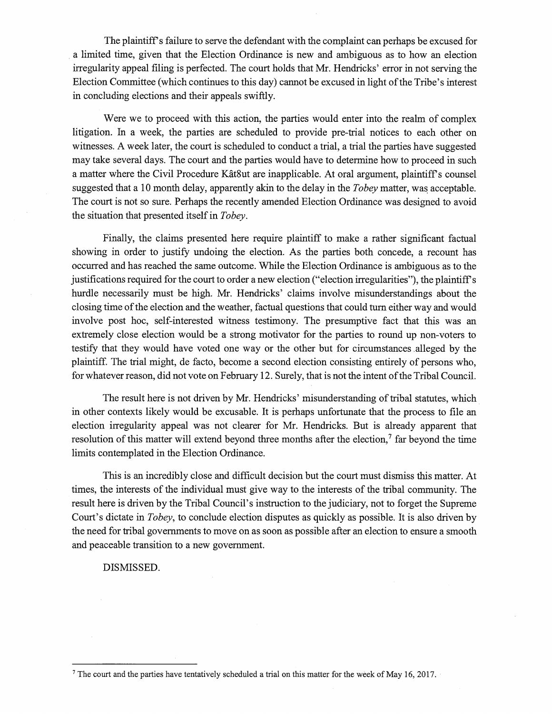The plaintiff's failure to serve the defendant with the complaint can perhaps be excused for a limited time, given that the Election Ordinance is new and ambiguous as to how an election irregularity appeal filing is perfected. The court holds that Mr. Hendricks' error in not serving the Election Committee (which continues to this day) cannot be excused in light of the Tribe's interest in concluding elections and their appeals swiftly.

Were we to proceed with this action, the parties would enter into the realm of complex litigation. In a week, the parties are scheduled to provide pre-trial notices to each other on witnesses. A week later, the court is scheduled to conduct a trial, a trial the parties have suggested may take several days. The court and the parties would have to determine how to proceed in such a matter where the Civil Procedure Kat8ut are inapplicable. At oral argument, plaintiffs counsel suggested that a 10 month delay, apparently akin to the delay in the *Tobey* matter, was acceptable. The court is not so sure. Perhaps the recently amended Election Ordinance was designed to avoid the situation that presented itself in *Tobey.* 

Finally, the claims presented here require plaintiff to make a rather significant factual showing in order to justify undoing the election. As the parties both concede, a recount has occurred and has reached the same outcome. While the Election Ordinance is ambiguous as to the justifications required for the court to order a new election ("election irregularities"), the plaintiffs hurdle necessarily must be high. Mr. Hendricks' claims involve misunderstandings about the closing time of the election and the weather, factual questions that could turn either way and would involve post hoc, self-interested witness testimony. The presumptive fact that this was an extremely close election would be a strong motivator for the parties to round up non-voters to testify that they would have voted one way or the other but for circumstances ,alleged by the plaintiff. The trial might, de facto, become a second election consisting entirely of persons who, for whatever reason, did not vote on February 12. Surely, that is not the intent of the Tribal Council.

The result here is not driven by Mr. Hendricks' misunderstanding of tribal statutes, which in other contexts likely would be excusable. It is perhaps unfortunate that the process to file an election irregularity appeal was not clearer for Mr. Hendricks. But is already apparent that resolution of this matter will extend beyond three months after the election, $\gamma$  far beyond the time limits contemplated in the Election Ordinance.

This is an incredibly close and difficult decision but the court must dismiss this matter. At times, the interests of the individual must give way to the interests of the tribal community. The result here is driven by the Tribal Council's instruction to the judiciary, not to forget the Supreme Court's dictate in *Tobey,* to conclude election disputes as quickly as possible. It is also driven by the need for tribal governments to move on as soon as possible after an election to ensure a smooth and peaceable transition to a new government.

DISMISSED.

<sup>7</sup> The court and the parties have tentatively scheduled a trial on this matter for the week of May 16, 2017.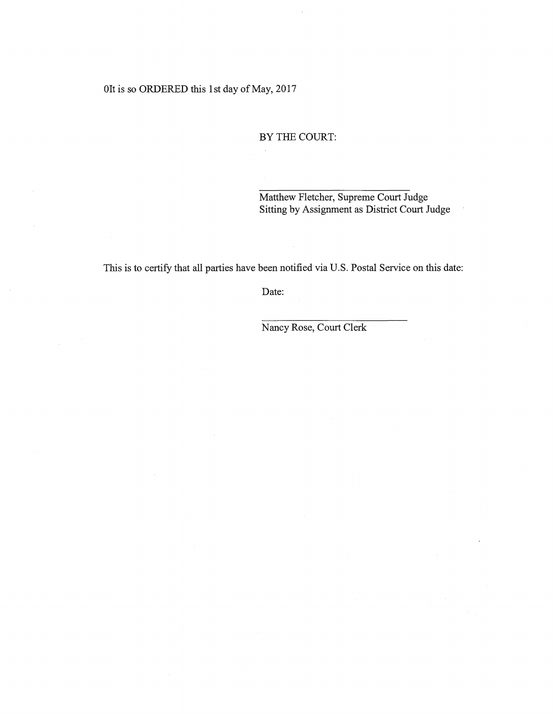## Olt is so ORDERED this 1st day of May, 2017

## BY THE COURT:

Matthew Fletcher, Supreme Court Judge Sitting by Assignment as District Court Judge

This is to certify that all parties have been notified via U.S. Postal Service on this date:

**Date:** 

Nancy Rose, Court Clerk